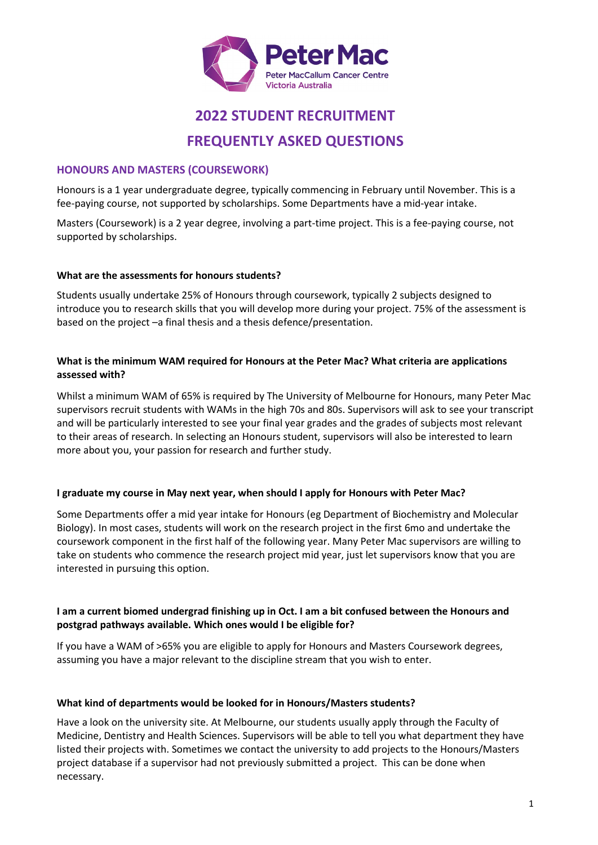

# **2022 STUDENT RECRUITMENT**

# **FREQUENTLY ASKED QUESTIONS**

# **HONOURS AND MASTERS (COURSEWORK)**

Honours is a 1 year undergraduate degree, typically commencing in February until November. This is a fee-paying course, not supported by scholarships. Some Departments have a mid-year intake.

Masters (Coursework) is a 2 year degree, involving a part-time project. This is a fee-paying course, not supported by scholarships.

# **What are the assessments for honours students?**

Students usually undertake 25% of Honours through coursework, typically 2 subjects designed to introduce you to research skills that you will develop more during your project. 75% of the assessment is based on the project –a final thesis and a thesis defence/presentation.

#### **What is the minimum WAM required for Honours at the Peter Mac? What criteria are applications assessed with?**

Whilst a minimum WAM of 65% is required by The University of Melbourne for Honours, many Peter Mac supervisors recruit students with WAMs in the high 70s and 80s. Supervisors will ask to see your transcript and will be particularly interested to see your final year grades and the grades of subjects most relevant to their areas of research. In selecting an Honours student, supervisors will also be interested to learn more about you, your passion for research and further study.

# **I graduate my course in May next year, when should I apply for Honours with Peter Mac?**

Some Departments offer a mid year intake for Honours (eg Department of Biochemistry and Molecular Biology). In most cases, students will work on the research project in the first 6mo and undertake the coursework component in the first half of the following year. Many Peter Mac supervisors are willing to take on students who commence the research project mid year, just let supervisors know that you are interested in pursuing this option.

# **I am a current biomed undergrad finishing up in Oct. I am a bit confused between the Honours and postgrad pathways available. Which ones would I be eligible for?**

If you have a WAM of >65% you are eligible to apply for Honours and Masters Coursework degrees, assuming you have a major relevant to the discipline stream that you wish to enter.

# **What kind of departments would be looked for in Honours/Masters students?**

Have a look on the university site. At Melbourne, our students usually apply through the Faculty of Medicine, Dentistry and Health Sciences. Supervisors will be able to tell you what department they have listed their projects with. Sometimes we contact the university to add projects to the Honours/Masters project database if a supervisor had not previously submitted a project. This can be done when necessary.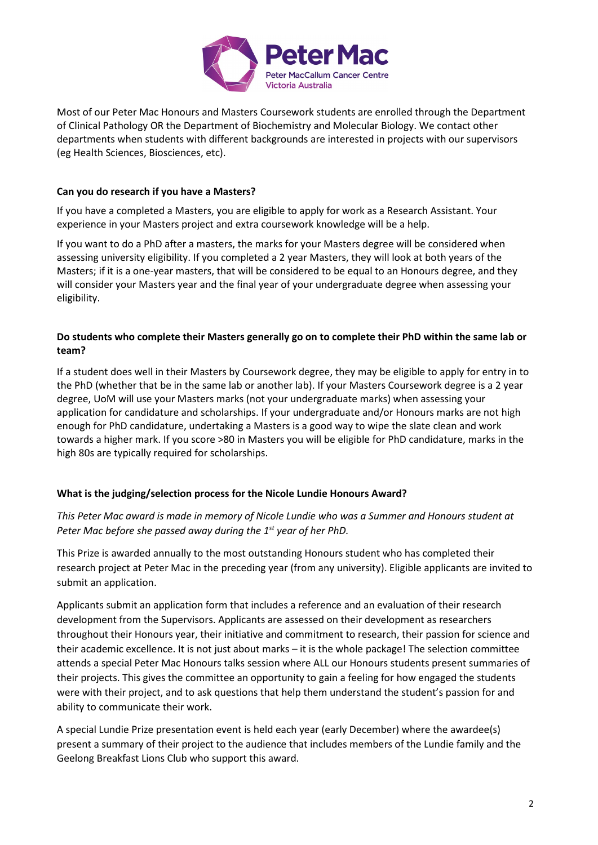

Most of our Peter Mac Honours and Masters Coursework students are enrolled through the Department of Clinical Pathology OR the Department of Biochemistry and Molecular Biology. We contact other departments when students with different backgrounds are interested in projects with our supervisors (eg Health Sciences, Biosciences, etc).

#### **Can you do research if you have a Masters?**

If you have a completed a Masters, you are eligible to apply for work as a Research Assistant. Your experience in your Masters project and extra coursework knowledge will be a help.

If you want to do a PhD after a masters, the marks for your Masters degree will be considered when assessing university eligibility. If you completed a 2 year Masters, they will look at both years of the Masters; if it is a one-year masters, that will be considered to be equal to an Honours degree, and they will consider your Masters year and the final year of your undergraduate degree when assessing your eligibility.

#### **Do students who complete their Masters generally go on to complete their PhD within the same lab or team?**

If a student does well in their Masters by Coursework degree, they may be eligible to apply for entry in to the PhD (whether that be in the same lab or another lab). If your Masters Coursework degree is a 2 year degree, UoM will use your Masters marks (not your undergraduate marks) when assessing your application for candidature and scholarships. If your undergraduate and/or Honours marks are not high enough for PhD candidature, undertaking a Masters is a good way to wipe the slate clean and work towards a higher mark. If you score >80 in Masters you will be eligible for PhD candidature, marks in the high 80s are typically required for scholarships.

# **What is the judging/selection process for the Nicole Lundie Honours Award?**

*This Peter Mac award is made in memory of Nicole Lundie who was a Summer and Honours student at Peter Mac before she passed away during the 1st year of her PhD.*

This Prize is awarded annually to the most outstanding Honours student who has completed their research project at Peter Mac in the preceding year (from any university). Eligible applicants are invited to submit an application.

Applicants submit an application form that includes a reference and an evaluation of their research development from the Supervisors. Applicants are assessed on their development as researchers throughout their Honours year, their initiative and commitment to research, their passion for science and their academic excellence. It is not just about marks – it is the whole package! The selection committee attends a special Peter Mac Honours talks session where ALL our Honours students present summaries of their projects. This gives the committee an opportunity to gain a feeling for how engaged the students were with their project, and to ask questions that help them understand the student's passion for and ability to communicate their work.

A special Lundie Prize presentation event is held each year (early December) where the awardee(s) present a summary of their project to the audience that includes members of the Lundie family and the Geelong Breakfast Lions Club who support this award.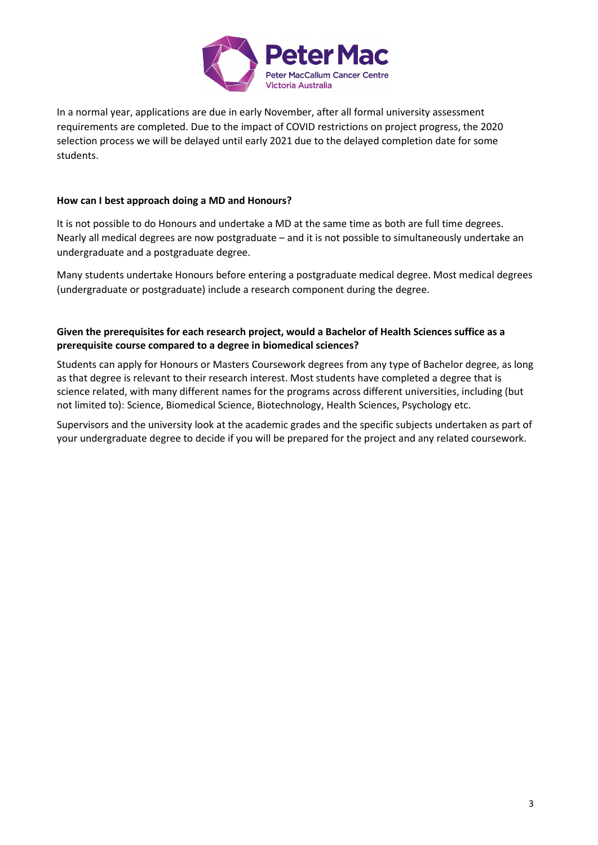

In a normal year, applications are due in early November, after all formal university assessment requirements are completed. Due to the impact of COVID restrictions on project progress, the 2020 selection process we will be delayed until early 2021 due to the delayed completion date for some students.

#### **How can I best approach doing a MD and Honours?**

It is not possible to do Honours and undertake a MD at the same time as both are full time degrees. Nearly all medical degrees are now postgraduate – and it is not possible to simultaneously undertake an undergraduate and a postgraduate degree.

Many students undertake Honours before entering a postgraduate medical degree. Most medical degrees (undergraduate or postgraduate) include a research component during the degree.

#### **Given the prerequisites for each research project, would a Bachelor of Health Sciences suffice as a prerequisite course compared to a degree in biomedical sciences?**

Students can apply for Honours or Masters Coursework degrees from any type of Bachelor degree, as long as that degree is relevant to their research interest. Most students have completed a degree that is science related, with many different names for the programs across different universities, including (but not limited to): Science, Biomedical Science, Biotechnology, Health Sciences, Psychology etc.

Supervisors and the university look at the academic grades and the specific subjects undertaken as part of your undergraduate degree to decide if you will be prepared for the project and any related coursework.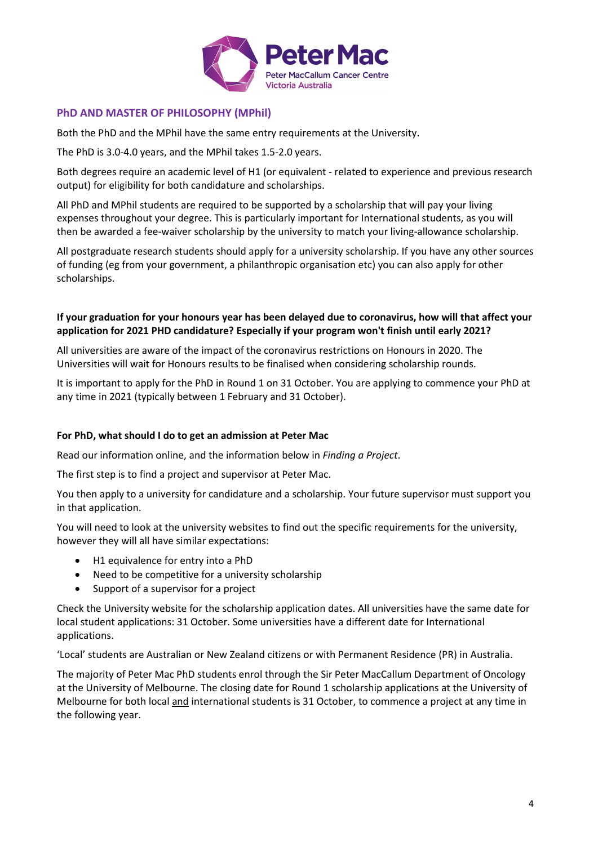

# **PhD AND MASTER OF PHILOSOPHY (MPhil)**

Both the PhD and the MPhil have the same entry requirements at the University.

The PhD is 3.0-4.0 years, and the MPhil takes 1.5-2.0 years.

Both degrees require an academic level of H1 (or equivalent - related to experience and previous research output) for eligibility for both candidature and scholarships.

All PhD and MPhil students are required to be supported by a scholarship that will pay your living expenses throughout your degree. This is particularly important for International students, as you will then be awarded a fee-waiver scholarship by the university to match your living-allowance scholarship.

All postgraduate research students should apply for a university scholarship. If you have any other sources of funding (eg from your government, a philanthropic organisation etc) you can also apply for other scholarships.

#### **If your graduation for your honours year has been delayed due to coronavirus, how will that affect your application for 2021 PHD candidature? Especially if your program won't finish until early 2021?**

All universities are aware of the impact of the coronavirus restrictions on Honours in 2020. The Universities will wait for Honours results to be finalised when considering scholarship rounds.

It is important to apply for the PhD in Round 1 on 31 October. You are applying to commence your PhD at any time in 2021 (typically between 1 February and 31 October).

# **For PhD, what should I do to get an admission at Peter Mac**

Read our information online, and the information below in *Finding a Project*.

The first step is to find a project and supervisor at Peter Mac.

You then apply to a university for candidature and a scholarship. Your future supervisor must support you in that application.

You will need to look at the university websites to find out the specific requirements for the university, however they will all have similar expectations:

- H1 equivalence for entry into a PhD
- Need to be competitive for a university scholarship
- Support of a supervisor for a project

Check the University website for the scholarship application dates. All universities have the same date for local student applications: 31 October. Some universities have a different date for International applications.

'Local' students are Australian or New Zealand citizens or with Permanent Residence (PR) in Australia.

The majority of Peter Mac PhD students enrol through the Sir Peter MacCallum Department of Oncology at the University of Melbourne. The closing date for Round 1 scholarship applications at the University of Melbourne for both local and international students is 31 October, to commence a project at any time in the following year.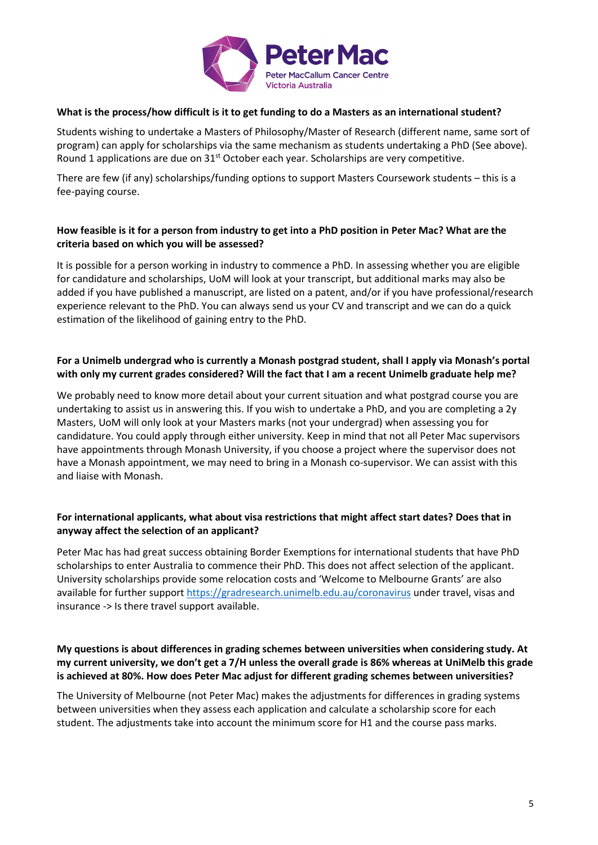

#### **What is the process/how difficult is it to get funding to do a Masters as an international student?**

Students wishing to undertake a Masters of Philosophy/Master of Research (different name, same sort of program) can apply for scholarships via the same mechanism as students undertaking a PhD (See above). Round 1 applications are due on 31<sup>st</sup> October each year. Scholarships are very competitive.

There are few (if any) scholarships/funding options to support Masters Coursework students – this is a fee-paying course.

#### **How feasible is it for a person from industry to get into a PhD position in Peter Mac? What are the criteria based on which you will be assessed?**

It is possible for a person working in industry to commence a PhD. In assessing whether you are eligible for candidature and scholarships, UoM will look at your transcript, but additional marks may also be added if you have published a manuscript, are listed on a patent, and/or if you have professional/research experience relevant to the PhD. You can always send us your CV and transcript and we can do a quick estimation of the likelihood of gaining entry to the PhD.

# **For a Unimelb undergrad who is currently a Monash postgrad student, shall I apply via Monash's portal with only my current grades considered? Will the fact that I am a recent Unimelb graduate help me?**

We probably need to know more detail about your current situation and what postgrad course you are undertaking to assist us in answering this. If you wish to undertake a PhD, and you are completing a 2y Masters, UoM will only look at your Masters marks (not your undergrad) when assessing you for candidature. You could apply through either university. Keep in mind that not all Peter Mac supervisors have appointments through Monash University, if you choose a project where the supervisor does not have a Monash appointment, we may need to bring in a Monash co-supervisor. We can assist with this and liaise with Monash.

# **For international applicants, what about visa restrictions that might affect start dates? Does that in anyway affect the selection of an applicant?**

Peter Mac has had great success obtaining Border Exemptions for international students that have PhD scholarships to enter Australia to commence their PhD. This does not affect selection of the applicant. University scholarships provide some relocation costs and 'Welcome to Melbourne Grants' are also available for further support<https://gradresearch.unimelb.edu.au/coronavirus> under travel, visas and insurance -> Is there travel support available.

#### **My questions is about differences in grading schemes between universities when considering study. At my current university, we don't get a 7/H unless the overall grade is 86% whereas at UniMelb this grade is achieved at 80%. How does Peter Mac adjust for different grading schemes between universities?**

The University of Melbourne (not Peter Mac) makes the adjustments for differences in grading systems between universities when they assess each application and calculate a scholarship score for each student. The adjustments take into account the minimum score for H1 and the course pass marks.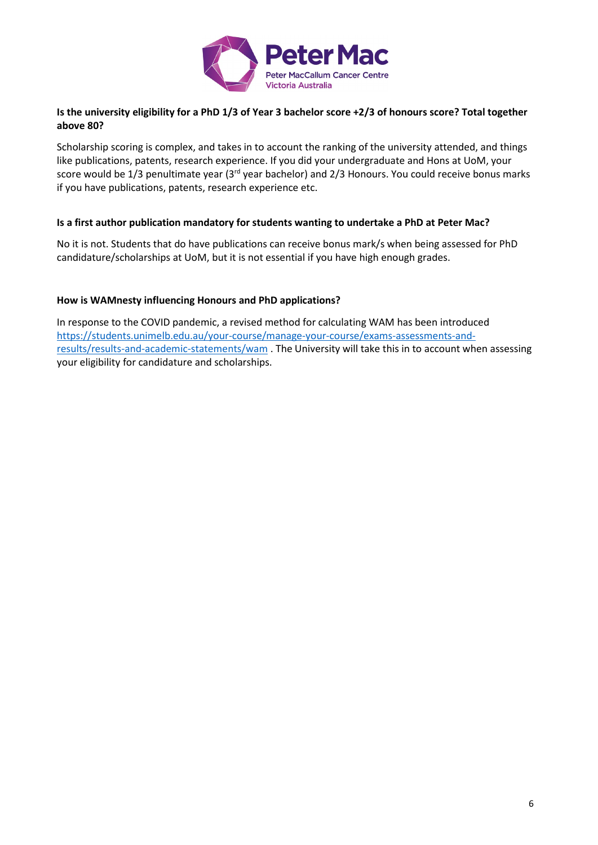

# **Is the university eligibility for a PhD 1/3 of Year 3 bachelor score +2/3 of honours score? Total together above 80?**

Scholarship scoring is complex, and takes in to account the ranking of the university attended, and things like publications, patents, research experience. If you did your undergraduate and Hons at UoM, your score would be 1/3 penultimate year (3<sup>rd</sup> year bachelor) and 2/3 Honours. You could receive bonus marks if you have publications, patents, research experience etc.

#### **Is a first author publication mandatory for students wanting to undertake a PhD at Peter Mac?**

No it is not. Students that do have publications can receive bonus mark/s when being assessed for PhD candidature/scholarships at UoM, but it is not essential if you have high enough grades.

#### **How is WAMnesty influencing Honours and PhD applications?**

In response to the COVID pandemic, a revised method for calculating WAM has been introduced [https://students.unimelb.edu.au/your-course/manage-your-course/exams-assessments-and](https://students.unimelb.edu.au/your-course/manage-your-course/exams-assessments-and-results/results-and-academic-statements/wam)[results/results-and-academic-statements/wam](https://students.unimelb.edu.au/your-course/manage-your-course/exams-assessments-and-results/results-and-academic-statements/wam) . The University will take this in to account when assessing your eligibility for candidature and scholarships.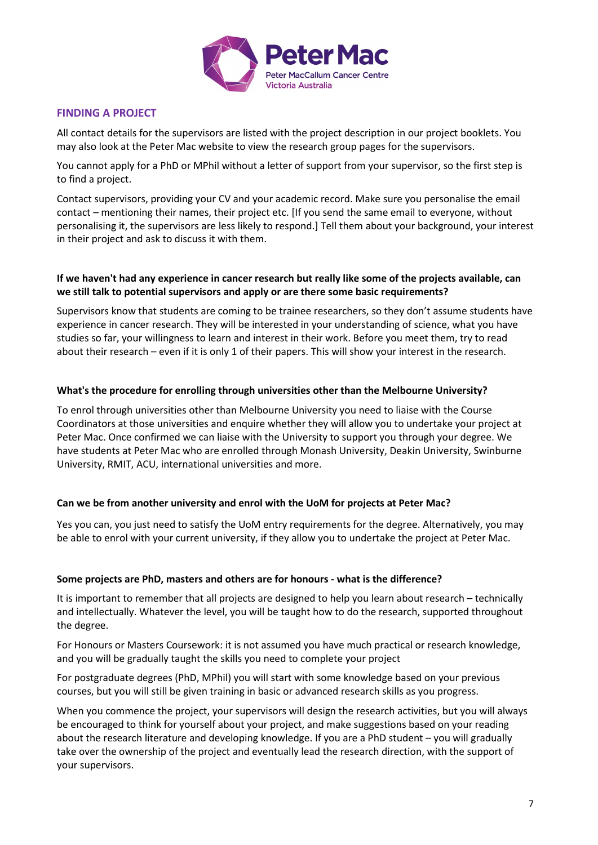

# **FINDING A PROJECT**

All contact details for the supervisors are listed with the project description in our project booklets. You may also look at the Peter Mac website to view the research group pages for the supervisors.

You cannot apply for a PhD or MPhil without a letter of support from your supervisor, so the first step is to find a project.

Contact supervisors, providing your CV and your academic record. Make sure you personalise the email contact – mentioning their names, their project etc. [If you send the same email to everyone, without personalising it, the supervisors are less likely to respond.] Tell them about your background, your interest in their project and ask to discuss it with them.

#### **If we haven't had any experience in cancer research but really like some of the projects available, can we still talk to potential supervisors and apply or are there some basic requirements?**

Supervisors know that students are coming to be trainee researchers, so they don't assume students have experience in cancer research. They will be interested in your understanding of science, what you have studies so far, your willingness to learn and interest in their work. Before you meet them, try to read about their research – even if it is only 1 of their papers. This will show your interest in the research.

#### **What's the procedure for enrolling through universities other than the Melbourne University?**

To enrol through universities other than Melbourne University you need to liaise with the Course Coordinators at those universities and enquire whether they will allow you to undertake your project at Peter Mac. Once confirmed we can liaise with the University to support you through your degree. We have students at Peter Mac who are enrolled through Monash University, Deakin University, Swinburne University, RMIT, ACU, international universities and more.

#### **Can we be from another university and enrol with the UoM for projects at Peter Mac?**

Yes you can, you just need to satisfy the UoM entry requirements for the degree. Alternatively, you may be able to enrol with your current university, if they allow you to undertake the project at Peter Mac.

#### **Some projects are PhD, masters and others are for honours - what is the difference?**

It is important to remember that all projects are designed to help you learn about research – technically and intellectually. Whatever the level, you will be taught how to do the research, supported throughout the degree.

For Honours or Masters Coursework: it is not assumed you have much practical or research knowledge, and you will be gradually taught the skills you need to complete your project

For postgraduate degrees (PhD, MPhil) you will start with some knowledge based on your previous courses, but you will still be given training in basic or advanced research skills as you progress.

When you commence the project, your supervisors will design the research activities, but you will always be encouraged to think for yourself about your project, and make suggestions based on your reading about the research literature and developing knowledge. If you are a PhD student – you will gradually take over the ownership of the project and eventually lead the research direction, with the support of your supervisors.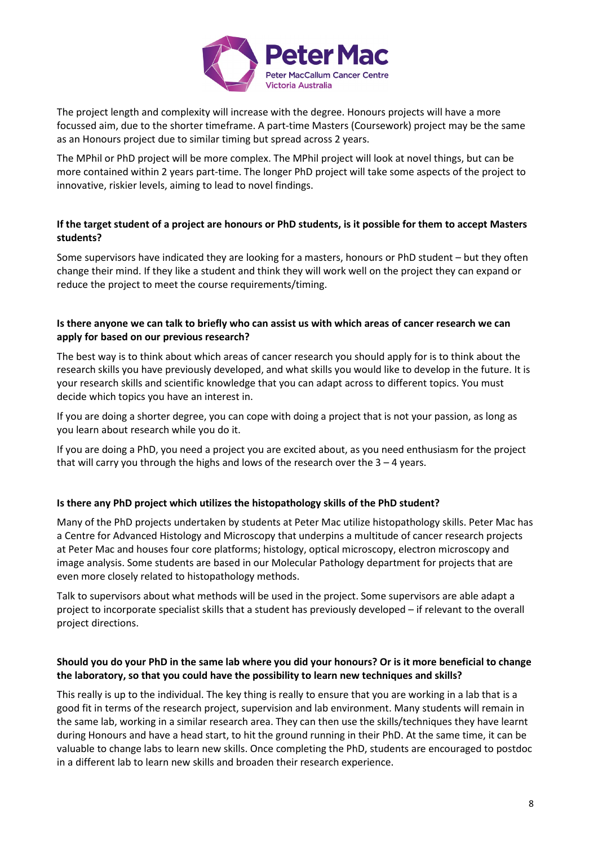

The project length and complexity will increase with the degree. Honours projects will have a more focussed aim, due to the shorter timeframe. A part-time Masters (Coursework) project may be the same as an Honours project due to similar timing but spread across 2 years.

The MPhil or PhD project will be more complex. The MPhil project will look at novel things, but can be more contained within 2 years part-time. The longer PhD project will take some aspects of the project to innovative, riskier levels, aiming to lead to novel findings.

# **If the target student of a project are honours or PhD students, is it possible for them to accept Masters students?**

Some supervisors have indicated they are looking for a masters, honours or PhD student – but they often change their mind. If they like a student and think they will work well on the project they can expand or reduce the project to meet the course requirements/timing.

#### **Is there anyone we can talk to briefly who can assist us with which areas of cancer research we can apply for based on our previous research?**

The best way is to think about which areas of cancer research you should apply for is to think about the research skills you have previously developed, and what skills you would like to develop in the future. It is your research skills and scientific knowledge that you can adapt across to different topics. You must decide which topics you have an interest in.

If you are doing a shorter degree, you can cope with doing a project that is not your passion, as long as you learn about research while you do it.

If you are doing a PhD, you need a project you are excited about, as you need enthusiasm for the project that will carry you through the highs and lows of the research over the  $3 - 4$  years.

# **Is there any PhD project which utilizes the histopathology skills of the PhD student?**

Many of the PhD projects undertaken by students at Peter Mac utilize histopathology skills. Peter Mac has a Centre for Advanced Histology and Microscopy that underpins a multitude of cancer research projects at Peter Mac and houses four core platforms; histology, optical microscopy, electron microscopy and image analysis. Some students are based in our Molecular Pathology department for projects that are even more closely related to histopathology methods.

Talk to supervisors about what methods will be used in the project. Some supervisors are able adapt a project to incorporate specialist skills that a student has previously developed – if relevant to the overall project directions.

# **Should you do your PhD in the same lab where you did your honours? Or is it more beneficial to change the laboratory, so that you could have the possibility to learn new techniques and skills?**

This really is up to the individual. The key thing is really to ensure that you are working in a lab that is a good fit in terms of the research project, supervision and lab environment. Many students will remain in the same lab, working in a similar research area. They can then use the skills/techniques they have learnt during Honours and have a head start, to hit the ground running in their PhD. At the same time, it can be valuable to change labs to learn new skills. Once completing the PhD, students are encouraged to postdoc in a different lab to learn new skills and broaden their research experience.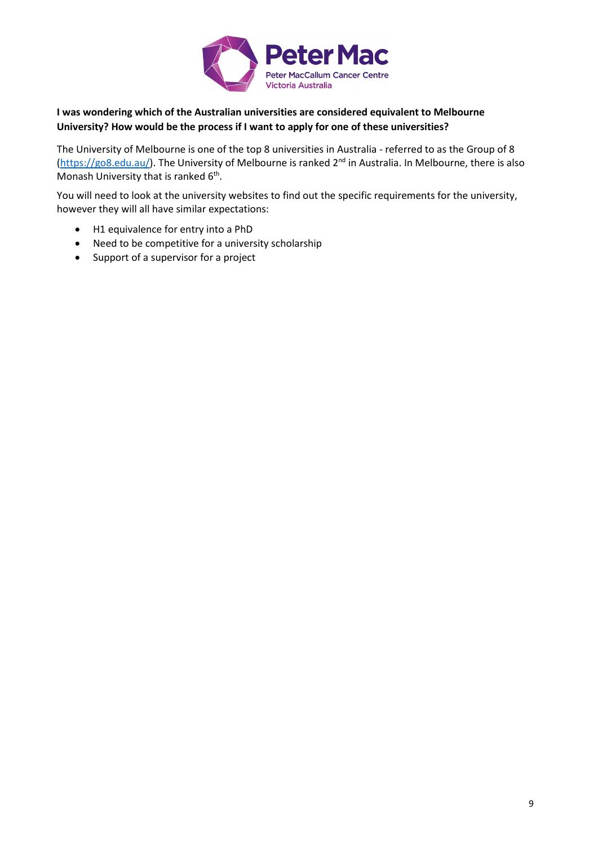

# **I was wondering which of the Australian universities are considered equivalent to Melbourne University? How would be the process if I want to apply for one of these universities?**

The University of Melbourne is one of the top 8 universities in Australia - referred to as the Group of 8 [\(https://go8.edu.au/\)](https://go8.edu.au/). The University of Melbourne is ranked 2<sup>nd</sup> in Australia. In Melbourne, there is also Monash University that is ranked  $6<sup>th</sup>$ .

You will need to look at the university websites to find out the specific requirements for the university, however they will all have similar expectations:

- H1 equivalence for entry into a PhD
- Need to be competitive for a university scholarship
- Support of a supervisor for a project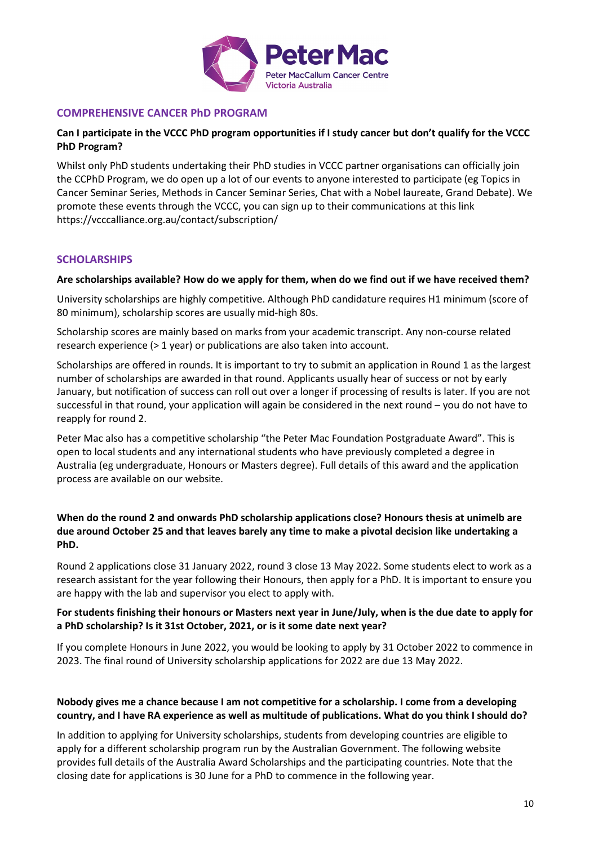

# **COMPREHENSIVE CANCER PhD PROGRAM**

# **Can I participate in the VCCC PhD program opportunities if I study cancer but don't qualify for the VCCC PhD Program?**

Whilst only PhD students undertaking their PhD studies in VCCC partner organisations can officially join the CCPhD Program, we do open up a lot of our events to anyone interested to participate (eg Topics in Cancer Seminar Series, Methods in Cancer Seminar Series, Chat with a Nobel laureate, Grand Debate). We promote these events through the VCCC, you can sign up to their communications at this link https://vcccalliance.org.au/contact/subscription/

# **SCHOLARSHIPS**

#### **Are scholarships available? How do we apply for them, when do we find out if we have received them?**

University scholarships are highly competitive. Although PhD candidature requires H1 minimum (score of 80 minimum), scholarship scores are usually mid-high 80s.

Scholarship scores are mainly based on marks from your academic transcript. Any non-course related research experience (> 1 year) or publications are also taken into account.

Scholarships are offered in rounds. It is important to try to submit an application in Round 1 as the largest number of scholarships are awarded in that round. Applicants usually hear of success or not by early January, but notification of success can roll out over a longer if processing of results is later. If you are not successful in that round, your application will again be considered in the next round – you do not have to reapply for round 2.

Peter Mac also has a competitive scholarship "the Peter Mac Foundation Postgraduate Award". This is open to local students and any international students who have previously completed a degree in Australia (eg undergraduate, Honours or Masters degree). Full details of this award and the application process are available on our website.

# **When do the round 2 and onwards PhD scholarship applications close? Honours thesis at unimelb are due around October 25 and that leaves barely any time to make a pivotal decision like undertaking a PhD.**

Round 2 applications close 31 January 2022, round 3 close 13 May 2022. Some students elect to work as a research assistant for the year following their Honours, then apply for a PhD. It is important to ensure you are happy with the lab and supervisor you elect to apply with.

# **For students finishing their honours or Masters next year in June/July, when is the due date to apply for a PhD scholarship? Is it 31st October, 2021, or is it some date next year?**

If you complete Honours in June 2022, you would be looking to apply by 31 October 2022 to commence in 2023. The final round of University scholarship applications for 2022 are due 13 May 2022.

#### **Nobody gives me a chance because I am not competitive for a scholarship. I come from a developing country, and I have RA experience as well as multitude of publications. What do you think I should do?**

In addition to applying for University scholarships, students from developing countries are eligible to apply for a different scholarship program run by the Australian Government. The following website provides full details of the Australia Award Scholarships and the participating countries. Note that the closing date for applications is 30 June for a PhD to commence in the following year.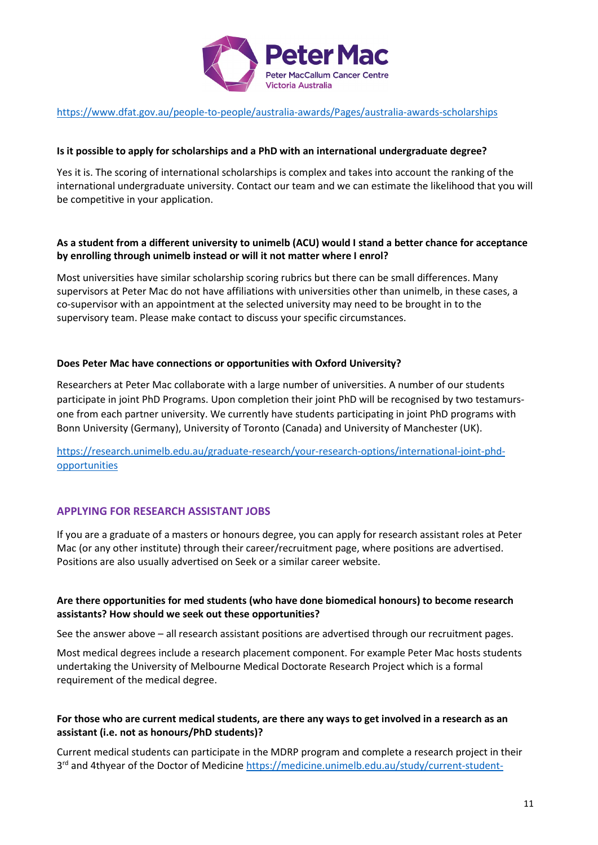

#### <https://www.dfat.gov.au/people-to-people/australia-awards/Pages/australia-awards-scholarships>

#### **Is it possible to apply for scholarships and a PhD with an international undergraduate degree?**

Yes it is. The scoring of international scholarships is complex and takes into account the ranking of the international undergraduate university. Contact our team and we can estimate the likelihood that you will be competitive in your application.

#### **As a student from a different university to unimelb (ACU) would I stand a better chance for acceptance by enrolling through unimelb instead or will it not matter where I enrol?**

Most universities have similar scholarship scoring rubrics but there can be small differences. Many supervisors at Peter Mac do not have affiliations with universities other than unimelb, in these cases, a co-supervisor with an appointment at the selected university may need to be brought in to the supervisory team. Please make contact to discuss your specific circumstances.

#### **Does Peter Mac have connections or opportunities with Oxford University?**

Researchers at Peter Mac collaborate with a large number of universities. A number of our students participate in joint PhD Programs. Upon completion their joint PhD will be recognised by two testamursone from each partner university. We currently have students participating in joint PhD programs with Bonn University (Germany), University of Toronto (Canada) and University of Manchester (UK).

[https://research.unimelb.edu.au/graduate-research/your-research-options/international-joint-phd](https://research.unimelb.edu.au/graduate-research/your-research-options/international-joint-phd-opportunities)[opportunities](https://research.unimelb.edu.au/graduate-research/your-research-options/international-joint-phd-opportunities)

#### **APPLYING FOR RESEARCH ASSISTANT JOBS**

If you are a graduate of a masters or honours degree, you can apply for research assistant roles at Peter Mac (or any other institute) through their career/recruitment page, where positions are advertised. Positions are also usually advertised on Seek or a similar career website.

#### **Are there opportunities for med students (who have done biomedical honours) to become research assistants? How should we seek out these opportunities?**

See the answer above – all research assistant positions are advertised through our recruitment pages.

Most medical degrees include a research placement component. For example Peter Mac hosts students undertaking the University of Melbourne Medical Doctorate Research Project which is a formal requirement of the medical degree.

#### **For those who are current medical students, are there any ways to get involved in a research as an assistant (i.e. not as honours/PhD students)?**

Current medical students can participate in the MDRP program and complete a research project in their 3<sup>rd</sup> and 4thyear of the Doctor of Medicine [https://medicine.unimelb.edu.au/study/current-student-](https://medicine.unimelb.edu.au/study/current-student-resources/md-students-resources/md-researchproject)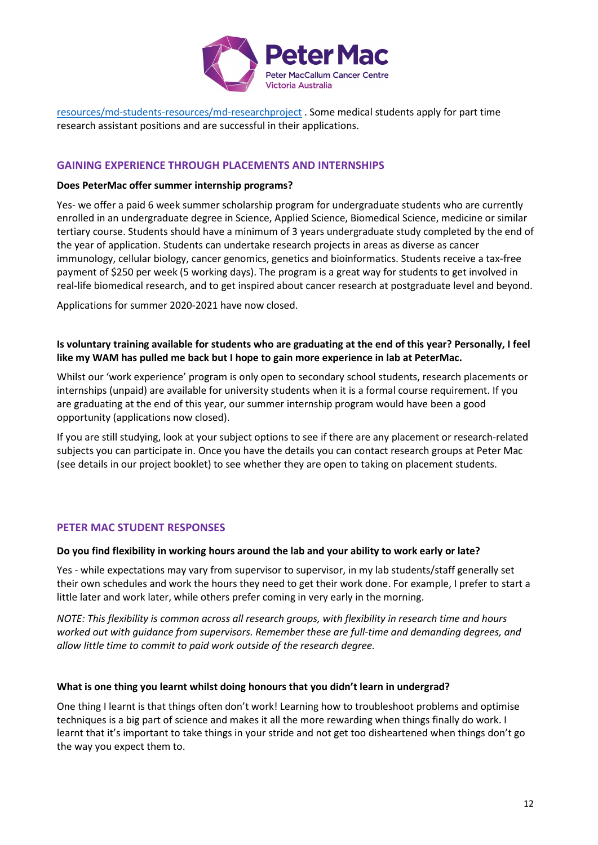

[resources/md-students-resources/md-researchproject](https://medicine.unimelb.edu.au/study/current-student-resources/md-students-resources/md-researchproject) . Some medical students apply for part time research assistant positions and are successful in their applications.

#### **GAINING EXPERIENCE THROUGH PLACEMENTS AND INTERNSHIPS**

#### **Does PeterMac offer summer internship programs?**

Yes- we offer a paid 6 week summer scholarship program for undergraduate students who are currently enrolled in an undergraduate degree in Science, Applied Science, Biomedical Science, medicine or similar tertiary course. Students should have a minimum of 3 years undergraduate study completed by the end of the year of application. Students can undertake research projects in areas as diverse as cancer immunology, cellular biology, cancer genomics, genetics and bioinformatics. Students receive a tax-free payment of \$250 per week (5 working days). The program is a great way for students to get involved in real-life biomedical research, and to get inspired about cancer research at postgraduate level and beyond.

Applications for summer 2020-2021 have now closed.

**Is voluntary training available for students who are graduating at the end of this year? Personally, I feel like my WAM has pulled me back but I hope to gain more experience in lab at PeterMac.**

Whilst our 'work experience' program is only open to secondary school students, research placements or internships (unpaid) are available for university students when it is a formal course requirement. If you are graduating at the end of this year, our summer internship program would have been a good opportunity (applications now closed).

If you are still studying, look at your subject options to see if there are any placement or research-related subjects you can participate in. Once you have the details you can contact research groups at Peter Mac (see details in our project booklet) to see whether they are open to taking on placement students.

#### **PETER MAC STUDENT RESPONSES**

#### **Do you find flexibility in working hours around the lab and your ability to work early or late?**

Yes - while expectations may vary from supervisor to supervisor, in my lab students/staff generally set their own schedules and work the hours they need to get their work done. For example, I prefer to start a little later and work later, while others prefer coming in very early in the morning.

*NOTE: This flexibility is common across all research groups, with flexibility in research time and hours worked out with guidance from supervisors. Remember these are full-time and demanding degrees, and allow little time to commit to paid work outside of the research degree.* 

#### **What is one thing you learnt whilst doing honours that you didn't learn in undergrad?**

One thing I learnt is that things often don't work! Learning how to troubleshoot problems and optimise techniques is a big part of science and makes it all the more rewarding when things finally do work. I learnt that it's important to take things in your stride and not get too disheartened when things don't go the way you expect them to.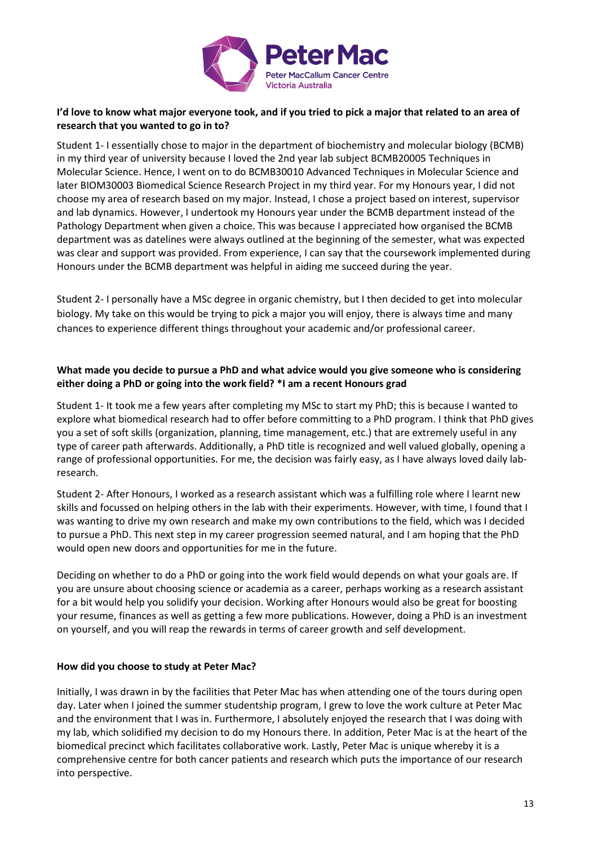

# **I'd love to know what major everyone took, and if you tried to pick a major that related to an area of research that you wanted to go in to?**

Student 1- I essentially chose to major in the department of biochemistry and molecular biology (BCMB) in my third year of university because I loved the 2nd year lab subject BCMB20005 Techniques in Molecular Science. Hence, I went on to do BCMB30010 Advanced Techniques in Molecular Science and later BIOM30003 Biomedical Science Research Project in my third year. For my Honours year, I did not choose my area of research based on my major. Instead, I chose a project based on interest, supervisor and lab dynamics. However, I undertook my Honours year under the BCMB department instead of the Pathology Department when given a choice. This was because I appreciated how organised the BCMB department was as datelines were always outlined at the beginning of the semester, what was expected was clear and support was provided. From experience, I can say that the coursework implemented during Honours under the BCMB department was helpful in aiding me succeed during the year.

Student 2- I personally have a MSc degree in organic chemistry, but I then decided to get into molecular biology. My take on this would be trying to pick a major you will enjoy, there is always time and many chances to experience different things throughout your academic and/or professional career.

#### **What made you decide to pursue a PhD and what advice would you give someone who is considering either doing a PhD or going into the work field? \*I am a recent Honours grad**

Student 1- It took me a few years after completing my MSc to start my PhD; this is because I wanted to explore what biomedical research had to offer before committing to a PhD program. I think that PhD gives you a set of soft skills (organization, planning, time management, etc.) that are extremely useful in any type of career path afterwards. Additionally, a PhD title is recognized and well valued globally, opening a range of professional opportunities. For me, the decision was fairly easy, as I have always loved daily labresearch.

Student 2- After Honours, I worked as a research assistant which was a fulfilling role where I learnt new skills and focussed on helping others in the lab with their experiments. However, with time, I found that I was wanting to drive my own research and make my own contributions to the field, which was I decided to pursue a PhD. This next step in my career progression seemed natural, and I am hoping that the PhD would open new doors and opportunities for me in the future.

Deciding on whether to do a PhD or going into the work field would depends on what your goals are. If you are unsure about choosing science or academia as a career, perhaps working as a research assistant for a bit would help you solidify your decision. Working after Honours would also be great for boosting your resume, finances as well as getting a few more publications. However, doing a PhD is an investment on yourself, and you will reap the rewards in terms of career growth and self development.

#### **How did you choose to study at Peter Mac?**

Initially, I was drawn in by the facilities that Peter Mac has when attending one of the tours during open day. Later when I joined the summer studentship program, I grew to love the work culture at Peter Mac and the environment that I was in. Furthermore, I absolutely enjoyed the research that I was doing with my lab, which solidified my decision to do my Honours there. In addition, Peter Mac is at the heart of the biomedical precinct which facilitates collaborative work. Lastly, Peter Mac is unique whereby it is a comprehensive centre for both cancer patients and research which puts the importance of our research into perspective.